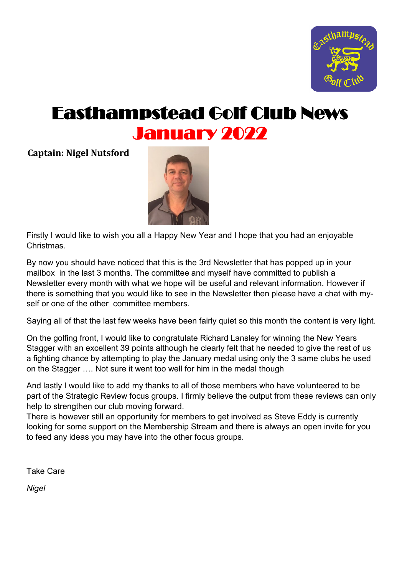

# Easthampstead Golf Club News January 2022

**Captain: Nigel Nutsford** 



Firstly I would like to wish you all a Happy New Year and I hope that you had an enjoyable Christmas.

By now you should have noticed that this is the 3rd Newsletter that has popped up in your mailbox in the last 3 months. The committee and myself have committed to publish a Newsletter every month with what we hope will be useful and relevant information. However if there is something that you would like to see in the Newsletter then please have a chat with myself or one of the other committee members.

Saying all of that the last few weeks have been fairly quiet so this month the content is very light.

On the golfing front, I would like to congratulate Richard Lansley for winning the New Years Stagger with an excellent 39 points although he clearly felt that he needed to give the rest of us a fighting chance by attempting to play the January medal using only the 3 same clubs he used on the Stagger …. Not sure it went too well for him in the medal though

And lastly I would like to add my thanks to all of those members who have volunteered to be part of the Strategic Review focus groups. I firmly believe the output from these reviews can only help to strengthen our club moving forward.

There is however still an opportunity for members to get involved as Steve Eddy is currently looking for some support on the Membership Stream and there is always an open invite for you to feed any ideas you may have into the other focus groups.

Take Care

*Nigel*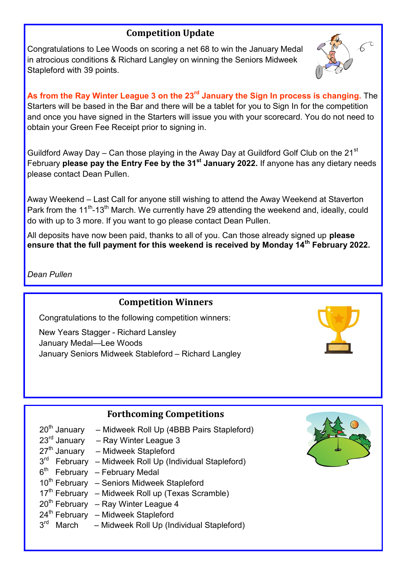# **Competition Update**

Congratulations to Lee Woods on scoring a net 68 to win the January Medal in atrocious conditions & Richard Langley on winning the Seniors Midweek Stapleford with 39 points.



**As from the Ray Winter League 3 on the 23rd January the Sign In process is changing.** The Starters will be based in the Bar and there will be a tablet for you to Sign In for the competition and once you have signed in the Starters will issue you with your scorecard. You do not need to obtain your Green Fee Receipt prior to signing in.

Guildford Away Day – Can those playing in the Away Day at Guildford Golf Club on the 21 $^{\rm st}$ February **please pay the Entry Fee by the 31st January 2022.** If anyone has any dietary needs please contact Dean Pullen.

Away Weekend – Last Call for anyone still wishing to attend the Away Weekend at Staverton Park from the 11<sup>th</sup>-13<sup>th</sup> March. We currently have 29 attending the weekend and, ideally, could do with up to 3 more. If you want to go please contact Dean Pullen.

All deposits have now been paid, thanks to all of you. Can those already signed up **please ensure that the full payment for this weekend is received by Monday 14th February 2022.** 

*Dean Pullen*

### **Competition Winners**

Congratulations to the following competition winners:

New Years Stagger - Richard Lansley January Medal—Lee Woods January Seniors Midweek Stableford – Richard Langley



|                          | <b>Forthcoming Competitions</b>                              |            |
|--------------------------|--------------------------------------------------------------|------------|
| 20 <sup>th</sup> January | - Midweek Roll Up (4BBB Pairs Stapleford)                    | لون<br>موس |
| 23 <sup>rd</sup> January | - Ray Winter League 3                                        |            |
|                          | 27 <sup>th</sup> January – Midweek Stapleford                |            |
|                          | $3rd$ February – Midweek Roll Up (Individual Stapleford)     |            |
|                          | $6th$ February - February Medal                              |            |
|                          | 10 <sup>th</sup> February – Seniors Midweek Stapleford       |            |
|                          | 17 <sup>th</sup> February – Midweek Roll up (Texas Scramble) |            |
|                          |                                                              |            |

- $20<sup>th</sup>$  February Ray Winter League 4
- $24<sup>th</sup>$  February Midweek Stapleford
- 3 rd March – Midweek Roll Up (Individual Stapleford)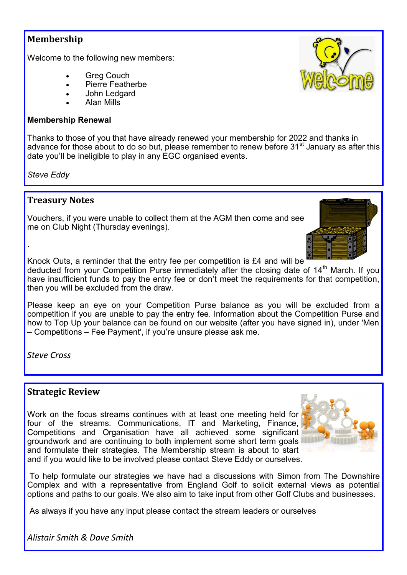## **Membership**

Welcome to the following new members:

- **Greg Couch**
- Pierre Featherbe
- John Ledgard
- Alan Mills

#### **Membership Renewal**

Thanks to those of you that have already renewed your membership for 2022 and thanks in advance for those about to do so but, please remember to renew before  $31<sup>st</sup>$  January as after this date you'll be ineligible to play in any EGC organised events.

*Steve Eddy*

.

## **Treasury Notes**

Vouchers, if you were unable to collect them at the AGM then come and see me on Club Night (Thursday evenings).

Knock Outs, a reminder that the entry fee per competition is £4 and will be

deducted from your Competition Purse immediately after the closing date of 14<sup>th</sup> March. If you have insufficient funds to pay the entry fee or don't meet the requirements for that competition, then you will be excluded from the draw.

Please keep an eye on your Competition Purse balance as you will be excluded from a competition if you are unable to pay the entry fee. Information about the Competition Purse and how to Top Up your balance can be found on our website (after you have signed in), under 'Men – Competitions – Fee Payment', if you're unsure please ask me.

*Steve Cross*

### **Strategic Review**

Work on the focus streams continues with at least one meeting held for four of the streams. Communications, IT and Marketing, Finance, Competitions and Organisation have all achieved some significant groundwork and are continuing to both implement some short term goals and formulate their strategies. The Membership stream is about to start and if you would like to be involved please contact Steve Eddy or ourselves.



To help formulate our strategies we have had a discussions with Simon from The Downshire Complex and with a representative from England Golf to solicit external views as potential options and paths to our goals. We also aim to take input from other Golf Clubs and businesses.

As always if you have any input please contact the stream leaders or ourselves

*Alistair Smith & Dave Smith*